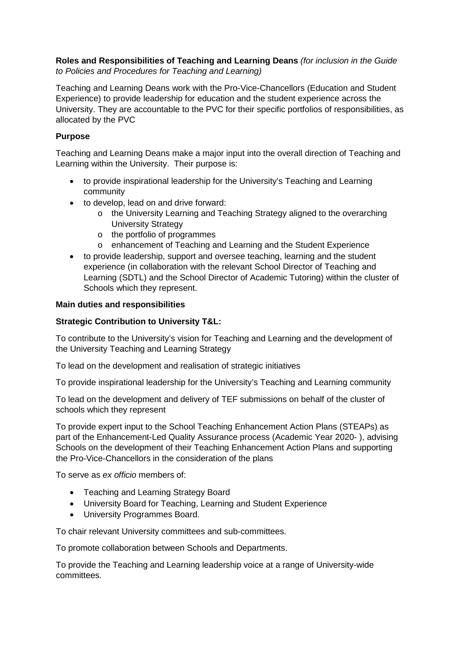# **Roles and Responsibilities of Teaching and Learning Deans** *(for inclusion in the Guide to Policies and Procedures for Teaching and Learning)*

Teaching and Learning Deans work with the Pro-Vice-Chancellors (Education and Student Experience) to provide leadership for education and the student experience across the University. They are accountable to the PVC for their specific portfolios of responsibilities, as allocated by the PVC

# **Purpose**

Teaching and Learning Deans make a major input into the overall direction of Teaching and Learning within the University. Their purpose is:

- to provide inspirational leadership for the University's Teaching and Learning community
- to develop, lead on and drive forward:
	- o the University Learning and Teaching Strategy aligned to the overarching University Strategy
	- o the portfolio of programmes
	- o enhancement of Teaching and Learning and the Student Experience
- to provide leadership, support and oversee teaching, learning and the student experience (in collaboration with the relevant School Director of Teaching and Learning (SDTL) and the School Director of Academic Tutoring) within the cluster of Schools which they represent.

# **Main duties and responsibilities**

# **Strategic Contribution to University T&L:**

To contribute to the University's vision for Teaching and Learning and the development of the University Teaching and Learning Strategy

To lead on the development and realisation of strategic initiatives

To provide inspirational leadership for the University's Teaching and Learning community

To lead on the development and delivery of TEF submissions on behalf of the cluster of schools which they represent

To provide expert input to the School Teaching Enhancement Action Plans (STEAPs) as part of the Enhancement-Led Quality Assurance process (Academic Year 2020- ), advising Schools on the development of their Teaching Enhancement Action Plans and supporting the Pro-Vice-Chancellors in the consideration of the plans

To serve as *ex officio* members of:

- Teaching and Learning Strategy Board
- University Board for Teaching, Learning and Student Experience
- University Programmes Board.

To chair relevant University committees and sub-committees.

To promote collaboration between Schools and Departments.

To provide the Teaching and Learning leadership voice at a range of University-wide committees.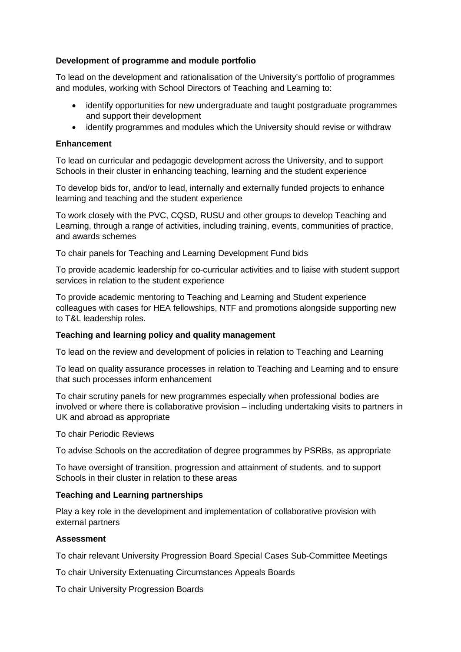# **Development of programme and module portfolio**

To lead on the development and rationalisation of the University's portfolio of programmes and modules, working with School Directors of Teaching and Learning to:

- identify opportunities for new undergraduate and taught postgraduate programmes and support their development
- identify programmes and modules which the University should revise or withdraw

## **Enhancement**

To lead on curricular and pedagogic development across the University, and to support Schools in their cluster in enhancing teaching, learning and the student experience

To develop bids for, and/or to lead, internally and externally funded projects to enhance learning and teaching and the student experience

To work closely with the PVC, CQSD, RUSU and other groups to develop Teaching and Learning, through a range of activities, including training, events, communities of practice, and awards schemes

To chair panels for Teaching and Learning Development Fund bids

To provide academic leadership for co-curricular activities and to liaise with student support services in relation to the student experience

To provide academic mentoring to Teaching and Learning and Student experience colleagues with cases for HEA fellowships, NTF and promotions alongside supporting new to T&L leadership roles.

## **Teaching and learning policy and quality management**

To lead on the review and development of policies in relation to Teaching and Learning

To lead on quality assurance processes in relation to Teaching and Learning and to ensure that such processes inform enhancement

To chair scrutiny panels for new programmes especially when professional bodies are involved or where there is collaborative provision – including undertaking visits to partners in UK and abroad as appropriate

To chair Periodic Reviews

To advise Schools on the accreditation of degree programmes by PSRBs, as appropriate

To have oversight of transition, progression and attainment of students, and to support Schools in their cluster in relation to these areas

## **Teaching and Learning partnerships**

Play a key role in the development and implementation of collaborative provision with external partners

## **Assessment**

To chair relevant University Progression Board Special Cases Sub-Committee Meetings

To chair University Extenuating Circumstances Appeals Boards

To chair University Progression Boards